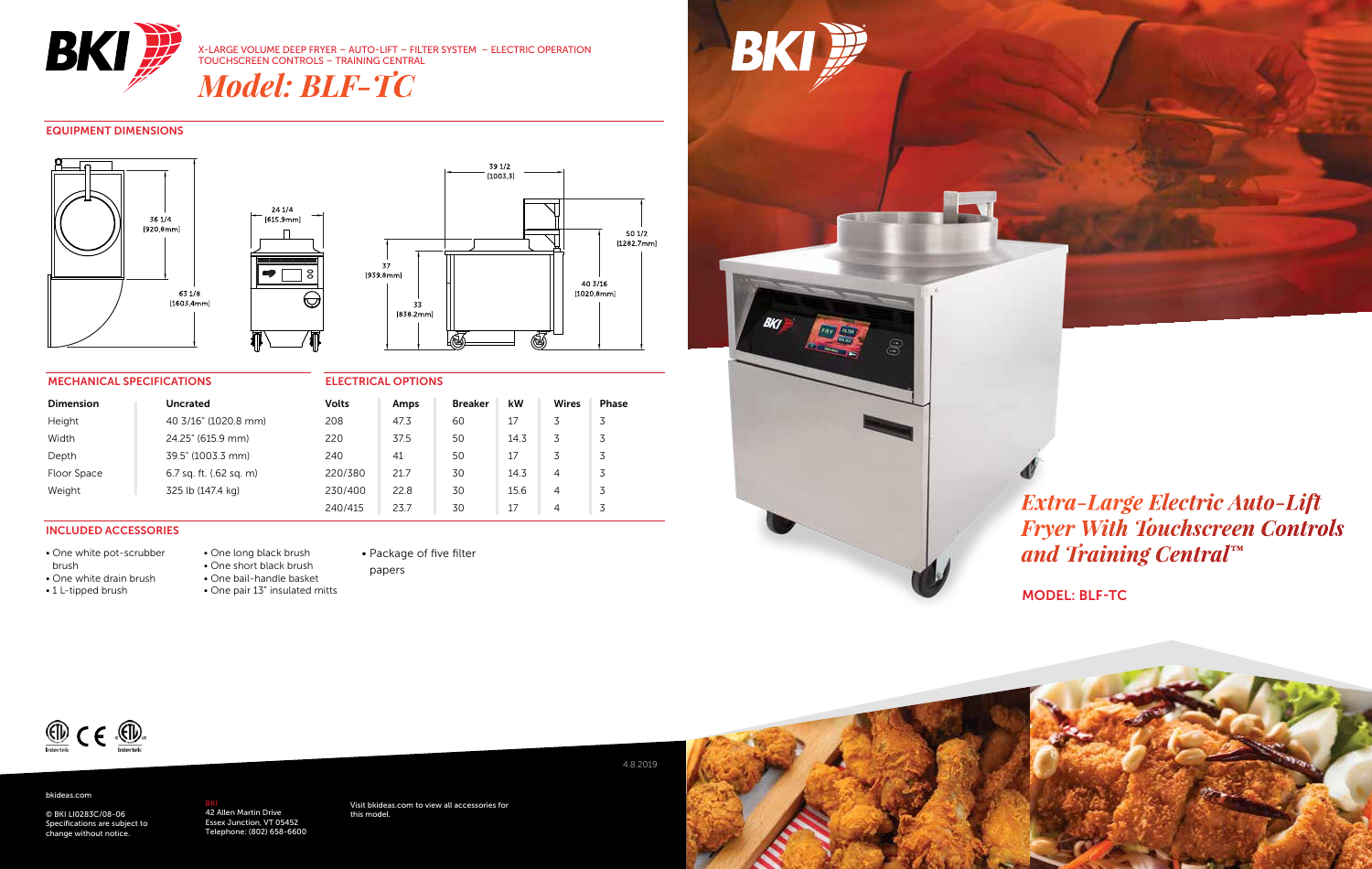

X-LARGE VOLUME DEEP FRYER – AUTO-LIFT – FILTER SYSTEM – ELECTRIC OPERATION TOUCHSCREEN CONTROLS – TRAINING CENTRAL

*Model: BLF-TC*

#### EQUIPMENT DIMENSIONS





#### MECHANICAL SPECIFICATIONS

| <b>Dimension</b> | Uncrated                | <b>Volts</b> | Amps | <b>Breaker</b> | kW   | Wires          | Phase |
|------------------|-------------------------|--------------|------|----------------|------|----------------|-------|
| Height           | 40 3/16" (1020.8 mm)    | 208          | 47.3 | 60             | 17   |                | 3     |
| Width            | 24.25" (615.9 mm)       | 220          | 37.5 | 50             | 14.3 | 3              | 3     |
| Depth            | 39.5" (1003.3 mm)       | 240          | 41   | 50             | 17   | 3              | 3     |
| Floor Space      | 6.7 sq. ft. (.62 sq. m) | 220/380      | 21.7 | 30             | 14.3 | 4              | 3     |
| Weight           | 325 lb (147.4 kg)       | 230/400      | 22.8 | 30             | 15.6 | $\overline{4}$ | 3     |
|                  |                         | 240/415      | 23.7 | 30             | 17   | 4              |       |

 $\Box$ 

 $\bullet$ 

#### INCLUDED ACCESSORIES

• One white pot-scrubber

• One white drain brush

- brush • 1 L-tipped brush
- One short black brush • One bail-handle basket

• One long black brush

• One pair 13" insulated mitts



ELECTRICAL OPTIONS

#### • Package of five filter papers



**BKI** 

## *Extra-Large Electric Auto-Lift Fryer With Touchscreen Controls and Training Central™*

MODEL: BLF-TC



#### bkideas.com

© BKI LI0283C/08-06 Specifications are subject to change without notice.

<mark>BKI</mark><br>42 Allen Martin Drive<br>Essex Junction, VT 05452 Telephone: (802) 658-6600 Visit bkideas.com to view all accessories for this model.